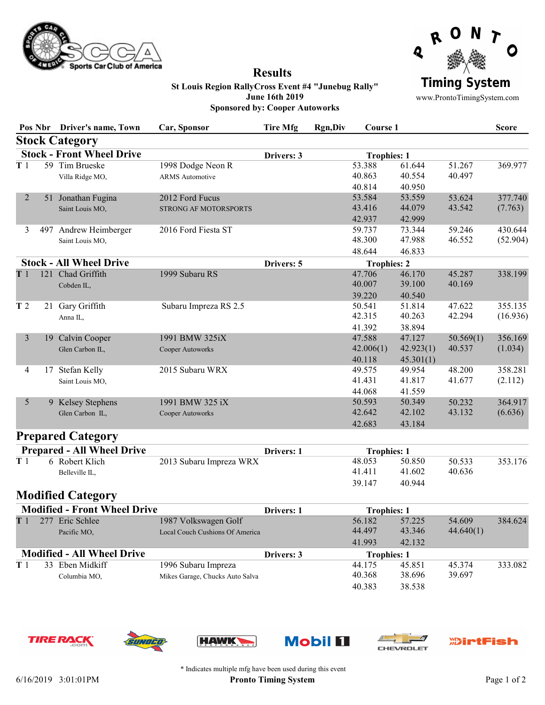

## Results



St Louis Region RallyCross Event #4 "Junebug Rally" June 16th 2019 Sponsored by: Cooper Autoworks

www.ProntoTimingSystem.com

|                                     |  | Pos Nbr Driver's name, Town       | Car, Sponsor                    | Tire Mfg   | <b>Rgn,Div</b> | Course 1           |           |           | <b>Score</b> |
|-------------------------------------|--|-----------------------------------|---------------------------------|------------|----------------|--------------------|-----------|-----------|--------------|
|                                     |  | <b>Stock Category</b>             |                                 |            |                |                    |           |           |              |
|                                     |  | <b>Stock - Front Wheel Drive</b>  |                                 | Drivers: 3 |                | <b>Trophies: 1</b> |           |           |              |
| T <sub>1</sub>                      |  | 59 Tim Brueske                    | 1998 Dodge Neon R               |            |                | 53.388             | 61.644    | 51.267    | 369.977      |
|                                     |  | Villa Ridge MO,                   | <b>ARMS</b> Automotive          |            |                | 40.863             | 40.554    | 40.497    |              |
|                                     |  |                                   |                                 |            |                | 40.814             | 40.950    |           |              |
| 2                                   |  | 51 Jonathan Fugina                | 2012 Ford Fucus                 |            |                | 53.584             | 53.559    | 53.624    | 377.740      |
|                                     |  | Saint Louis MO,                   | STRONG AF MOTORSPORTS           |            |                | 43.416             | 44.079    | 43.542    | (7.763)      |
|                                     |  |                                   |                                 |            |                | 42.937             | 42.999    |           |              |
| 3                                   |  | 497 Andrew Heimberger             | 2016 Ford Fiesta ST             |            |                | 59.737             | 73.344    | 59.246    | 430.644      |
|                                     |  | Saint Louis MO,                   |                                 |            |                | 48.300             | 47.988    | 46.552    | (52.904)     |
|                                     |  |                                   |                                 |            |                | 48.644             | 46.833    |           |              |
| <b>Stock - All Wheel Drive</b>      |  |                                   |                                 | Drivers: 5 |                | <b>Trophies: 2</b> |           |           |              |
| T1                                  |  | 121 Chad Griffith                 | 1999 Subaru RS                  |            |                | 47.706             | 46.170    | 45.287    | 338.199      |
|                                     |  | Cobden IL,                        |                                 |            |                | 40.007             | 39.100    | 40.169    |              |
|                                     |  |                                   |                                 |            |                | 39.220             | 40.540    |           |              |
| T <sub>2</sub>                      |  | 21 Gary Griffith                  | Subaru Impreza RS 2.5           |            |                | 50.541             | 51.814    | 47.622    | 355.135      |
|                                     |  | Anna IL,                          |                                 |            |                | 42.315             | 40.263    | 42.294    | (16.936)     |
|                                     |  |                                   |                                 |            |                | 41.392             | 38.894    |           |              |
| 3                                   |  | 19 Calvin Cooper                  | 1991 BMW 325iX                  |            |                | 47.588             | 47.127    | 50.569(1) | 356.169      |
|                                     |  | Glen Carbon IL,                   | Cooper Autoworks                |            |                | 42.006(1)          | 42.923(1) | 40.537    | (1.034)      |
|                                     |  |                                   |                                 |            |                | 40.118             | 45.301(1) |           |              |
| 4                                   |  | 17 Stefan Kelly                   | 2015 Subaru WRX                 |            |                | 49.575             | 49.954    | 48.200    | 358.281      |
|                                     |  | Saint Louis MO,                   |                                 |            |                | 41.431             | 41.817    | 41.677    | (2.112)      |
|                                     |  |                                   |                                 |            |                | 44.068             | 41.559    |           |              |
| 5                                   |  | 9 Kelsey Stephens                 | 1991 BMW 325 iX                 |            |                | 50.593             | 50.349    | 50.232    | 364.917      |
|                                     |  | Glen Carbon IL,                   | Cooper Autoworks                |            |                | 42.642             | 42.102    | 43.132    | (6.636)      |
|                                     |  |                                   |                                 |            |                | 42.683             | 43.184    |           |              |
|                                     |  | <b>Prepared Category</b>          |                                 |            |                |                    |           |           |              |
|                                     |  | <b>Prepared - All Wheel Drive</b> |                                 | Drivers: 1 |                | <b>Trophies: 1</b> |           |           |              |
| T1                                  |  | 6 Robert Klich                    | 2013 Subaru Impreza WRX         |            |                | 48.053             | 50.850    | 50.533    | 353.176      |
|                                     |  | Belleville IL,                    |                                 |            |                | 41.411             | 41.602    | 40.636    |              |
|                                     |  |                                   |                                 |            |                | 39.147             | 40.944    |           |              |
|                                     |  | <b>Modified Category</b>          |                                 |            |                |                    |           |           |              |
| <b>Modified - Front Wheel Drive</b> |  |                                   |                                 | Drivers: 1 |                | <b>Trophies: 1</b> |           |           |              |
| T1                                  |  | 277 Eric Schlee                   | 1987 Volkswagen Golf            |            |                | 56.182             | 57.225    | 54.609    | 384.624      |
|                                     |  | Pacific MO,                       | Local Couch Cushions Of America |            |                | 44.497             | 43.346    | 44.640(1) |              |
|                                     |  |                                   |                                 |            |                | 41.993             | 42.132    |           |              |
|                                     |  | <b>Modified - All Wheel Drive</b> |                                 | Drivers: 3 |                | <b>Trophies: 1</b> |           |           |              |
| T 1                                 |  | 33 Eben Midkiff                   | 1996 Subaru Impreza             |            |                | 44.175             | 45.851    | 45.374    | 333.082      |





**RUF** 







40.383 38.538

40.368 38.696 39.697



**TIRE RA** 

\* Indicates multiple mfg have been used during this event